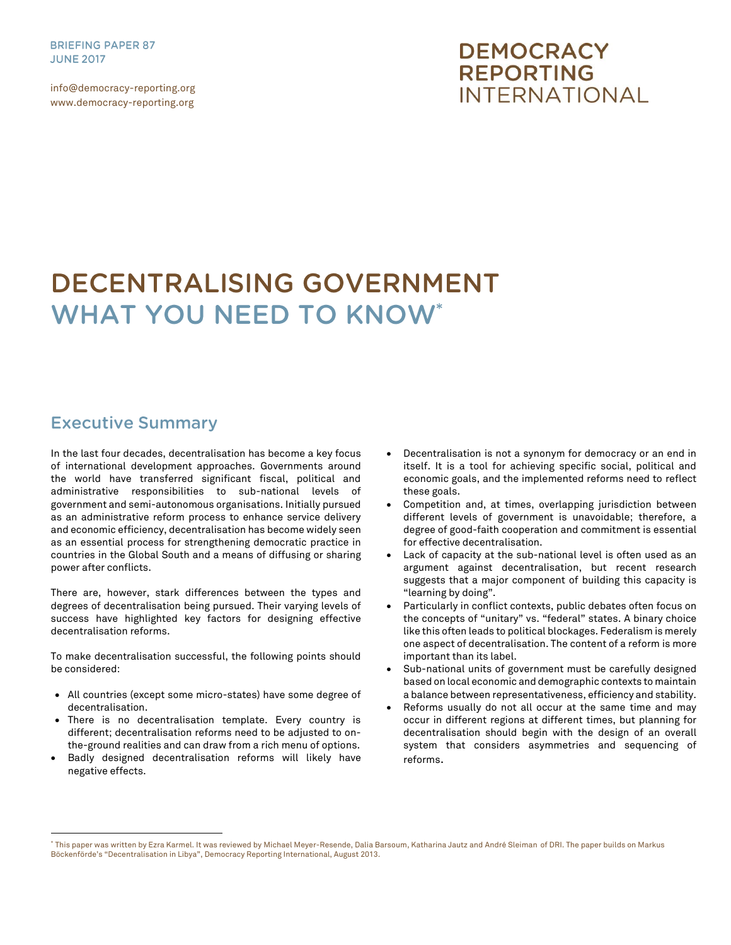**BRIEFING PAPER 87 JUNE 2017** 

info@democracy-reporting.org www.democracy-reporting.org

# **DEMOCRACY REPORTING INTERNATIONAL**

# **DECENTRALISING GOVERNMENT WHAT YOU NEED TO KNOW\***

## **Executive Summary**

 $\overline{a}$ 

In the last four decades, decentralisation has become a key focus of international development approaches. Governments around the world have transferred significant fiscal, political and administrative responsibilities to sub-national levels of government and semi-autonomous organisations. Initially pursued as an administrative reform process to enhance service delivery and economic efficiency, decentralisation has become widely seen as an essential process for strengthening democratic practice in countries in the Global South and a means of diffusing or sharing power after conflicts.

There are, however, stark differences between the types and degrees of decentralisation being pursued. Their varying levels of success have highlighted key factors for designing effective decentralisation reforms.

To make decentralisation successful, the following points should be considered:

- All countries (except some micro-states) have some degree of decentralisation.
- There is no decentralisation template. Every country is different; decentralisation reforms need to be adjusted to onthe-ground realities and can draw from a rich menu of options.
- Badly designed decentralisation reforms will likely have negative effects.
- Decentralisation is not a synonym for democracy or an end in itself. It is a tool for achieving specific social, political and economic goals, and the implemented reforms need to reflect these goals.
- Competition and, at times, overlapping jurisdiction between different levels of government is unavoidable; therefore, a degree of good-faith cooperation and commitment is essential for effective decentralisation.
- Lack of capacity at the sub-national level is often used as an argument against decentralisation, but recent research suggests that a major component of building this capacity is "learning by doing".
- Particularly in conflict contexts, public debates often focus on the concepts of "unitary" vs. "federal" states. A binary choice like this often leads to political blockages. Federalism is merely one aspect of decentralisation. The content of a reform is more important than its label.
- Sub-national units of government must be carefully designed based on local economic and demographic contexts to maintain a balance between representativeness, efficiency and stability.
- Reforms usually do not all occur at the same time and may occur in different regions at different times, but planning for decentralisation should begin with the design of an overall system that considers asymmetries and sequencing of reforms.

<sup>\*</sup> This paper was written by Ezra Karmel. It was reviewed by Michael Meyer-Resende, Dalia Barsoum, Katharina Jautz and André Sleiman of DRI. The paper builds on Markus Böckenförde's "Decentralisation in Libya", Democracy Reporting International, August 2013.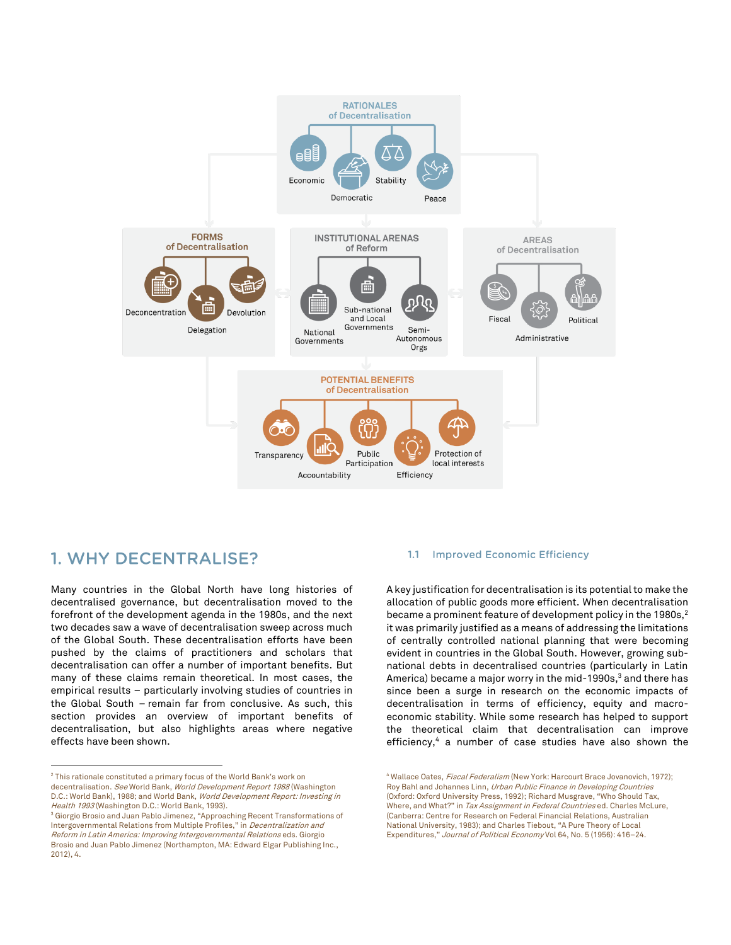

## 1. WHY DECENTRALISE?

 $\overline{a}$ 

Many countries in the Global North have long histories of decentralised governance, but decentralisation moved to the forefront of the development agenda in the 1980s, and the next two decades saw a wave of decentralisation sweep across much of the Global South. These decentralisation efforts have been pushed by the claims of practitioners and scholars that decentralisation can offer a number of important benefits. But many of these claims remain theoretical. In most cases, the empirical results – particularly involving studies of countries in the Global South – remain far from conclusive. As such, this section provides an overview of important benefits of decentralisation, but also highlights areas where negative effects have been shown.

#### **Improved Economic Efficiency**  $1.1$

A key justification for decentralisation is its potential to make the allocation of public goods more efficient. When decentralisation became a prominent feature of development policy in the 1980s, $2$ it was primarily justified as a means of addressing the limitations of centrally controlled national planning that were becoming evident in countries in the Global South. However, growing subnational debts in decentralised countries (particularly in Latin America) became a major worry in the mid-1990s,<sup>3</sup> and there has since been a surge in research on the economic impacts of decentralisation in terms of efficiency, equity and macroeconomic stability. While some research has helped to support the theoretical claim that decentralisation can improve efficiency,<sup>4</sup> a number of case studies have also shown the

<sup>4</sup> Wallace Oates, Fiscal Federalism (New York: Harcourt Brace Jovanovich. 1972): Roy Bahl and Johannes Linn, Urban Public Finance in Developing Countries (Oxford: Oxford University Press, 1992); Richard Musgrave, "Who Should Tax, Where, and What?" in Tax Assignment in Federal Countries ed. Charles McLure, (Canberra: Centre for Research on Federal Financial Relations, Australian National University, 1983); and Charles Tiebout, "A Pure Theory of Local Expenditures," Journal of Political Economy Vol 64, No. 5 (1956): 416-24.

<sup>&</sup>lt;sup>2</sup> This rationale constituted a primary focus of the World Bank's work on decentralisation. See World Bank, World Development Report 1988 (Washington D.C.: World Bank), 1988; and World Bank, World Development Report: Investing in Health 1993 (Washington D.C.: World Bank, 1993).

<sup>&</sup>lt;sup>3</sup> Giorgio Brosio and Juan Pablo Jimenez, "Approaching Recent Transformations of Intergovernmental Relations from Multiple Profiles," in Decentralization and Reform in Latin America: Improving Intergovernmental Relations eds. Giorgio Brosio and Juan Pablo Jimenez (Northampton, MA: Edward Elgar Publishing Inc., 2012), 4.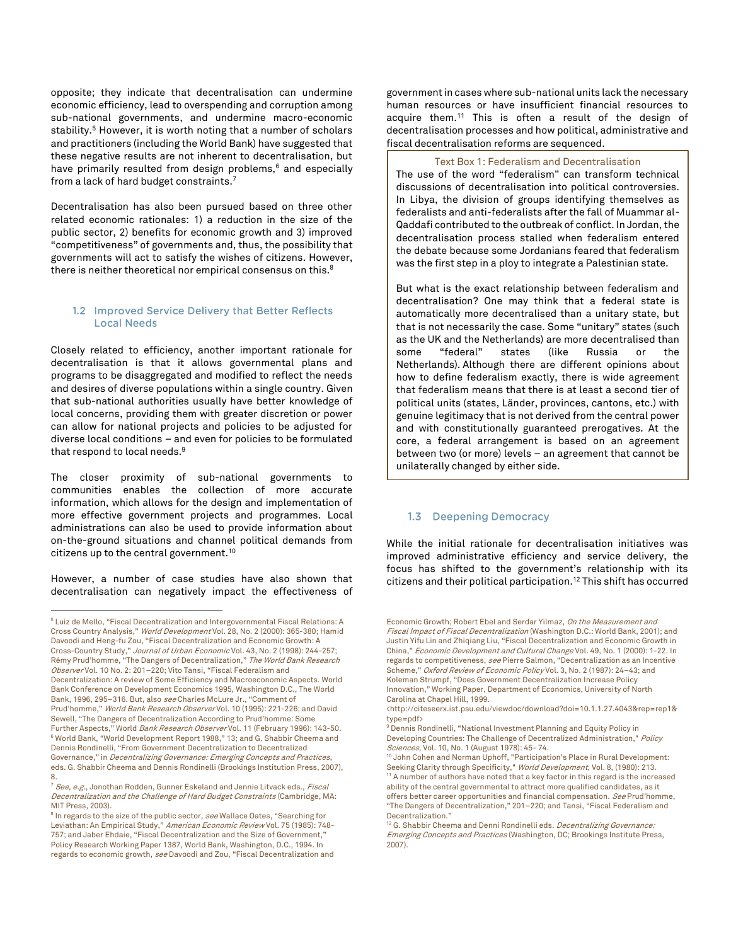opposite; they indicate that decentralisation can undermine economic efficiency, lead to overspending and corruption among sub-national governments, and undermine macro-economic stability.<sup>5</sup> However, it is worth noting that a number of scholars and practitioners (including the World Bank) have suggested that these negative results are not inherent to decentralisation, but have primarily resulted from design problems,<sup>6</sup> and especially from a lack of hard budget constraints.<sup>7</sup>

Decentralisation has also been pursued based on three other related economic rationales: 1) a reduction in the size of the public sector, 2) benefits for economic growth and 3) improved "competitiveness" of governments and, thus, the possibility that governments will act to satisfy the wishes of citizens. However, there is neither theoretical nor empirical consensus on this. $^8$ 

## 1.2 Improved Service Delivery that Better Reflects **Local Needs**

Closely related to efficiency, another important rationale for decentralisation is that it allows governmental plans and programs to be disaggregated and modified to reflect the needs and desires of diverse populations within a single country. Given that sub-national authorities usually have better knowledge of local concerns, providing them with greater discretion or power can allow for national projects and policies to be adjusted for diverse local conditions – and even for policies to be formulated that respond to local needs.<sup>9</sup>

The closer proximity of sub-national governments to communities enables the collection of more accurate information, which allows for the design and implementation of more effective government projects and programmes. Local administrations can also be used to provide information about on-the-ground situations and channel political demands from citizens up to the central government.<sup>10</sup>

However, a number of case studies have also shown that decentralisation can negatively impact the effectiveness of

 $\overline{a}$ 

government in cases where sub-national units lack the necessary human resources or have insufficient financial resources to acquire them.<sup>11</sup> This is often a result of the design of decentralisation processes and how political, administrative and fiscal decentralisation reforms are sequenced.

### Text Box 1: Federalism and Decentralisation

The use of the word "federalism" can transform technical discussions of decentralisation into political controversies. In Libya, the division of groups identifying themselves as federalists and anti-federalists after the fall of Muammar al-Qaddafi contributed to the outbreak of conflict. In Jordan, the decentralisation process stalled when federalism entered the debate because some Jordanians feared that federalism was the first step in a ploy to integrate a Palestinian state.

But what is the exact relationship between federalism and decentralisation? One may think that a federal state is automatically more decentralised than a unitary state, but that is not necessarily the case. Some "unitary" states (such as the UK and the Netherlands) are more decentralised than some "federal" states (like Russia or the Netherlands). Although there are different opinions about how to define federalism exactly, there is wide agreement that federalism means that there is at least a second tier of political units (states, Länder, provinces, cantons, etc.) with genuine legitimacy that is not derived from the central power and with constitutionally guaranteed prerogatives. At the core, a federal arrangement is based on an agreement between two (or more) levels – an agreement that cannot be unilaterally changed by either side.

## 1.3 Deepening Democracy

While the initial rationale for decentralisation initiatives was improved administrative efficiency and service delivery, the focus has shifted to the government's relationship with its citizens and their political participation.<sup>12</sup> This shift has occurred

Economic Growth: Robert Ebel and Serdar Yilmaz, On the Measurement and Fiscal Impact of Fiscal Decentralization (Washington D.C.: World Bank, 2001); and Justin Yifu Lin and Zhiqiang Liu, "Fiscal Decentralization and Economic Growth in China," Economic Development and Cultural Change Vol. 49, No. 1 (2000): 1-22. In regards to competitiveness, see Pierre Salmon, "Decentralization as an Incentive Scheme," Oxford Review of Economic Policy Vol. 3, No. 2 (1987): 24-43; and Koleman Strumpf, "Does Government Decentralization Increase Policy Innovation," Working Paper, Department of Economics, University of North Carolina at Chapel Hill, 1999.

<http://citeseerx.ist.psu.edu/viewdoc/download?doi=10.1.1.27.4043&rep=rep1& type=pdf>

<sup>5</sup> Luiz de Mello, "Fiscal Decentralization and Intergovernmental Fiscal Relations: A Cross Country Analysis," World Development Vol. 28, No. 2 (2000): 365-380; Hamid Davoodi and Heng-fu Zou, "Fiscal Decentralization and Economic Growth: A Cross-Country Study," Journal of Urban Economic Vol. 43, No. 2 (1998): 244-257; Rémy Prud'homme, "The Dangers of Decentralization," The World Bank Research Observer Vol. 10 No. 2: 201-220; Vito Tansi, "Fiscal Federalism and Decentralization: A review of Some Efficiency and Macroeconomic Aspects. World Bank Conference on Development Economics 1995, Washington D.C., The World Bank, 1996, 295-316. But, also see Charles McLure Jr., "Comment of Prud'homme," World Bank Research Observer Vol. 10 (1995): 221-226; and David Sewell, "The Dangers of Decentralization According to Prud'homme: Some Further Aspects," World Bank Research Observer Vol. 11 (February 1996): 143-50. <sup>6</sup> World Bank, "World Development Report 1988," 13; and G. Shabbir Cheema and Dennis Rondinelli, "From Government Decentralization to Decentralized Governance," in Decentralizing Governance: Emerging Concepts and Practices eds. G. Shabbir Cheema and Dennis Rondinelli (Brookings Institution Press, 2007), 8.

<sup>&</sup>lt;sup>7</sup> See, e.g., Jonothan Rodden, Gunner Eskeland and Jennie Litvack eds., Fiscal Decentralization and the Challenge of Hard Budget Constraints (Cambridge, MA: MIT Press, 2003).

<sup>&</sup>lt;sup>8</sup> In regards to the size of the public sector, see Wallace Oates, "Searching for Leviathan: An Empirical Study," American Economic Review Vol. 75 (1985): 748- 757; and Jaber Ehdaie, "Fiscal Decentralization and the Size of Government," Policy Research Working Paper 1387, World Bank, Washington, D.C., 1994. In regards to economic growth, see Davoodi and Zou, "Fiscal Decentralization and

<sup>9</sup> Dennis Rondinelli, "National Investment Planning and Equity Policy in Developing Countries: The Challenge of Decentralized Administration," Policy Sciences, Vol. 10, No. 1 (August 1978): 45- 74.

 $^{10}$  John Cohen and Norman Uphoff, "Participation's Place in Rural Development: Seeking Clarity through Specificity," World Development, Vol. 8, (1980): 213. <sup>11</sup> A number of authors have noted that a key factor in this regard is the increased ability of the central governmental to attract more qualified candidates, as it offers better career opportunities and financial compensation. See Prud'homme, "The Dangers of Decentralization," 201–220; and Tansi, "Fiscal Federalism and Decentralization."

<sup>&</sup>lt;sup>12</sup> G. Shabbir Cheema and Denni Rondinelli eds. *Decentralizing Governance:* Emerging Concepts and Practices (Washington, DC; Brookings Institute Press, 2007).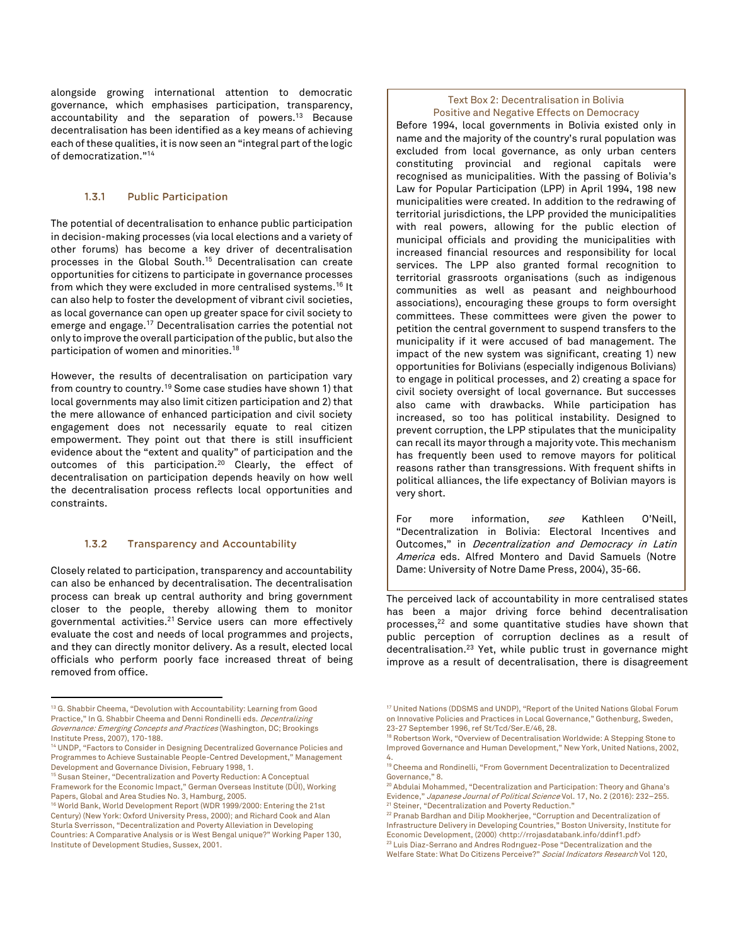alongside growing international attention to democratic governance, which emphasises participation, transparency, accountability and the separation of powers.<sup>13</sup> Because decentralisation has been identified as a key means of achieving each of these qualities, it is now seen an "integral part of the logic of democratization."<sup>14</sup>

#### $1, 3, 1$ **Public Participation**

The potential of decentralisation to enhance public participation in decision-making processes (via local elections and a variety of other forums) has become a key driver of decentralisation processes in the Global South. <sup>15</sup> Decentralisation can create opportunities for citizens to participate in governance processes from which they were excluded in more centralised systems.<sup>16</sup> It can also help to foster the development of vibrant civil societies, as local governance can open up greater space for civil society to emerge and engage.<sup>17</sup> Decentralisation carries the potential not only to improve the overall participation of the public, but also the participation of women and minorities.<sup>18</sup>

However, the results of decentralisation on participation vary from country to country.<sup>19</sup> Some case studies have shown 1) that local governments may also limit citizen participation and 2) that the mere allowance of enhanced participation and civil society engagement does not necessarily equate to real citizen empowerment. They point out that there is still insufficient evidence about the "extent and quality" of participation and the outcomes of this participation.<sup>20</sup> Clearly, the effect of decentralisation on participation depends heavily on how well the decentralisation process reflects local opportunities and constraints.

#### $1.3.2$ **Transparency and Accountability**

Closely related to participation, transparency and accountability can also be enhanced by decentralisation. The decentralisation process can break up central authority and bring government closer to the people, thereby allowing them to monitor governmental activities.<sup>21</sup> Service users can more effectively evaluate the cost and needs of local programmes and projects, and they can directly monitor delivery. As a result, elected local officials who perform poorly face increased threat of being removed from office.

 $\overline{a}$ 

## Text Box 2: Decentralisation in Bolivia Positive and Negative Effects on Democracy

Before 1994, local governments in Bolivia existed only in name and the majority of the country's rural population was excluded from local governance, as only urban centers constituting provincial and regional capitals were recognised as municipalities. With the passing of Bolivia's Law for Popular Participation (LPP) in April 1994, 198 new municipalities were created. In addition to the redrawing of territorial jurisdictions, the LPP provided the municipalities with real powers, allowing for the public election of municipal officials and providing the municipalities with increased financial resources and responsibility for local services. The LPP also granted formal recognition to territorial grassroots organisations (such as indigenous communities as well as peasant and neighbourhood associations), encouraging these groups to form oversight committees. These committees were given the power to petition the central government to suspend transfers to the municipality if it were accused of bad management. The impact of the new system was significant, creating 1) new opportunities for Bolivians (especially indigenous Bolivians) to engage in political processes, and 2) creating a space for civil society oversight of local governance. But successes also came with drawbacks. While participation has increased, so too has political instability. Designed to prevent corruption, the LPP stipulates that the municipality can recall its mayor through a majority vote. This mechanism has frequently been used to remove mayors for political reasons rather than transgressions. With frequent shifts in political alliances, the life expectancy of Bolivian mayors is very short.

For more information, see Kathleen O'Neill, "Decentralization in Bolivia: Electoral Incentives and Outcomes," in Decentralization and Democracy in Latin America eds. Alfred Montero and David Samuels (Notre Dame: University of Notre Dame Press, 2004), 35-66.

The perceived lack of accountability in more centralised states has been a major driving force behind decentralisation processes, <sup>22</sup> and some quantitative studies have shown that public perception of corruption declines as a result of decentralisation.<sup>23</sup> Yet, while public trust in governance might improve as a result of decentralisation, there is disagreement

<sup>&</sup>lt;sup>13</sup> G. Shabbir Cheema, "Devolution with Accountability: Learning from Good Practice," In G. Shabbir Cheema and Denni Rondinelli eds. Decentralizing Governance: Emerging Concepts and Practices (Washington, DC; Brookings Institute Press, 2007), 170-188.

<sup>14</sup> UNDP, "Factors to Consider in Designing Decentralized Governance Policies and Programmes to Achieve Sustainable People-Centred Development," Management Development and Governance Division, February 1998, 1.

<sup>15</sup> Susan Steiner, "Decentralization and Poverty Reduction: A Conceptual Framework for the Economic Impact," German Overseas Institute (DÜI), Working Papers, Global and Area Studies No. 3, Hamburg, 2005.

<sup>&</sup>lt;sup>16</sup> World Bank, World Development Report (WDR 1999/2000: Entering the 21st Century) (New York: Oxford University Press, 2000); and Richard Cook and Alan Sturla Sverrisson, "Decentralization and Poverty Alleviation in Developing Countries: A Comparative Analysis or is West Bengal unique?" Working Paper 130, Institute of Development Studies, Sussex, 2001.

<sup>&</sup>lt;sup>17</sup> United Nations (DDSMS and UNDP), "Report of the United Nations Global Forum on Innovative Policies and Practices in Local Governance," Gothenburg, Sweden, 23-27 September 1996, ref St/Tcd/Ser.E/46, 28.

<sup>&</sup>lt;sup>18</sup> Robertson Work, "Overview of Decentralisation Worldwide: A Stepping Stone to Improved Governance and Human Development," New York, United Nations, 2002, 4.

<sup>19</sup> Cheema and Rondinelli, "From Government Decentralization to Decentralized Governance," 8.

<sup>&</sup>lt;sup>20</sup> Abdulai Mohammed, "Decentralization and Participation: Theory and Ghana's Evidence," Japanese Journal of Political Science Vol. 17, No. 2 (2016): 232-255. <sup>21</sup> Steiner, "Decentralization and Poverty Reduction."

<sup>22</sup> Pranab Bardhan and Dilip Mookherjee, "Corruption and Decentralization of Infrastructure Delivery in Developing Countries," Boston University, Institute for Economic Development, (2000) <http://rrojasdatabank.info/ddinf1.pdf> <sup>23</sup> Luis Diaz-Serrano and Andres Rodrıguez-Pose "Decentralization and the Welfare State: What Do Citizens Perceive?" Social Indicators Research Vol 120,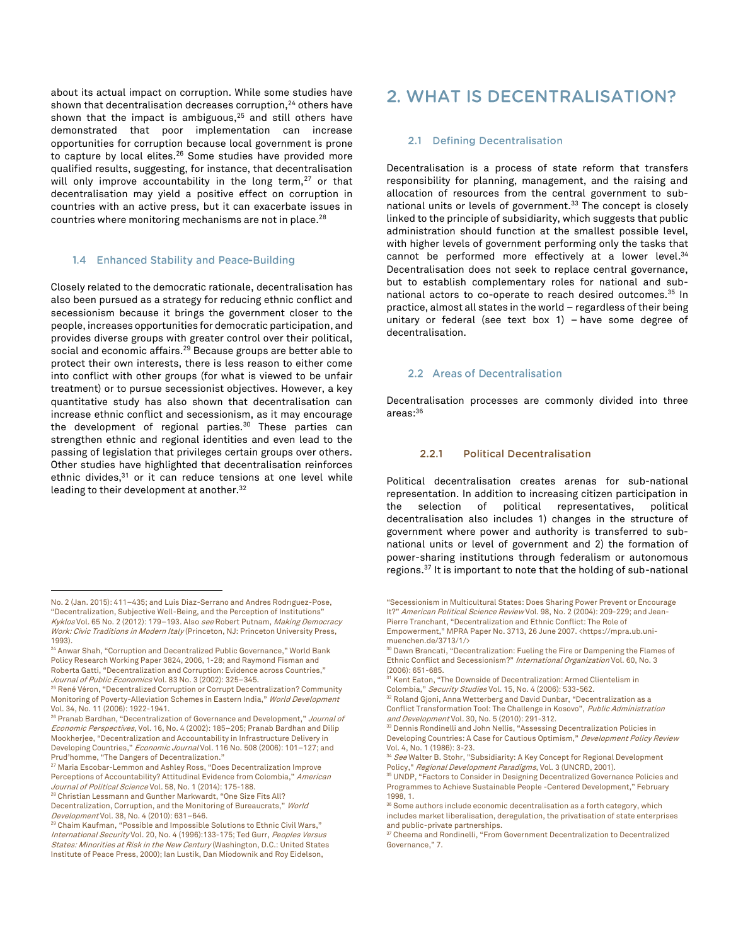about its actual impact on corruption. While some studies have shown that decentralisation decreases corruption, $^{24}$  others have shown that the impact is ambiguous, $25$  and still others have demonstrated that poor implementation can increase opportunities for corruption because local government is prone to capture by local elites.<sup>26</sup> Some studies have provided more qualified results, suggesting, for instance, that decentralisation will only improve accountability in the long term, $27$  or that decentralisation may yield a positive effect on corruption in countries with an active press, but it can exacerbate issues in countries where monitoring mechanisms are not in place.<sup>28</sup>

### 1.4 Enhanced Stability and Peace-Building

Closely related to the democratic rationale, decentralisation has also been pursued as a strategy for reducing ethnic conflict and secessionism because it brings the government closer to the people, increases opportunities for democratic participation, and provides diverse groups with greater control over their political, social and economic affairs.<sup>29</sup> Because groups are better able to protect their own interests, there is less reason to either come into conflict with other groups (for what is viewed to be unfair treatment) or to pursue secessionist objectives. However, a key quantitative study has also shown that decentralisation can increase ethnic conflict and secessionism, as it may encourage the development of regional parties.<sup>30</sup> These parties can strengthen ethnic and regional identities and even lead to the passing of legislation that privileges certain groups over others. Other studies have highlighted that decentralisation reinforces ethnic divides,<sup>31</sup> or it can reduce tensions at one level while leading to their development at another.<sup>32</sup>

 $\overline{a}$ 

<sup>26</sup> Pranab Bardhan, "Decentralization of Governance and Development," Journal of Economic Perspectives, Vol. 16, No. 4 (2002): 185–205; Pranab Bardhan and Dilip Mookherjee, "Decentralization and Accountability in Infrastructure Delivery in Developing Countries," Economic Journal Vol. 116 No. 508 (2006): 101-127; and Prud'homme, "The Dangers of Decentralization."

<sup>27</sup> Maria Escobar-Lemmon and Ashley Ross, "Does Decentralization Improve Perceptions of Accountability? Attitudinal Evidence from Colombia," American Journal of Political Science Vol. 58, No. 1 (2014): 175-188.

<sup>28</sup> Christian Lessmann and Gunther Markwardt, "One Size Fits All? Decentralization, Corruption, and the Monitoring of Bureaucrats," World Development Vol. 38, No. 4 (2010): 631–646.

## 2. WHAT IS DECENTRALISATION?

### 2.1 Defining Decentralisation

Decentralisation is a process of state reform that transfers responsibility for planning, management, and the raising and allocation of resources from the central government to subnational units or levels of government.<sup>33</sup> The concept is closely linked to the principle of subsidiarity, which suggests that public administration should function at the smallest possible level, with higher levels of government performing only the tasks that cannot be performed more effectively at a lower level.<sup>34</sup> Decentralisation does not seek to replace central governance, but to establish complementary roles for national and subnational actors to co-operate to reach desired outcomes. <sup>35</sup> In practice, almost all states in the world – regardless of their being unitary or federal (see text box 1) – have some degree of decentralisation.

### 2.2 Areas of Decentralisation

Decentralisation processes are commonly divided into three areas: 36

#### $2.2.1$ **Political Decentralisation**

Political decentralisation creates arenas for sub-national representation. In addition to increasing citizen participation in the selection of political representatives, political decentralisation also includes 1) changes in the structure of government where power and authority is transferred to subnational units or level of government and 2) the formation of power-sharing institutions through federalism or autonomous regions. <sup>37</sup> It is important to note that the holding of sub-national

<sup>30</sup> Dawn Brancati, "Decentralization: Fueling the Fire or Dampening the Flames of Ethnic Conflict and Secessionism?" International Organization Vol. 60, No. 3 (2006): 651-685.

<sup>32</sup> Roland Gjoni, Anna Wetterberg and David Dunbar, "Decentralization as a Conflict Transformation Tool: The Challenge in Kosovo", Public Administration and Development Vol. 30, No. 5 (2010): 291-312.

<sup>33</sup> Dennis Rondinelli and John Nellis, "Assessing Decentralization Policies in Developing Countries: A Case for Cautious Optimism," Development Policy Review Vol. 4, No. 1 (1986): 3-23.

<sup>34</sup> *See* Walter B. Stohr, "Subsidiarity: A Key Concept for Regional Development Policy," Regional Development Paradigms, Vol. 3 (UNCRD, 2001).

No. 2 (Jan. 2015): 411–435; and Luis Diaz-Serrano and Andres Rodrıguez-Pose, "Decentralization, Subjective Well-Being, and the Perception of Institutions" Kyklos Vol. 65 No. 2 (2012): 179–193. Also see Robert Putnam, Making Democracy Work: Civic Traditions in Modern Italy (Princeton, NJ: Princeton University Press, 1993).

<sup>&</sup>lt;sup>24</sup> Anwar Shah, "Corruption and Decentralized Public Governance," World Bank Policy Research Working Paper 3824, 2006, 1-28; and Raymond Fisman and Roberta Gatti, "Decentralization and Corruption: Evidence across Countries," Journal of Public Economics Vol. 83 No. 3 (2002): 325-345.

<sup>&</sup>lt;sup>25</sup> René Véron, "Decentralized Corruption or Corrupt Decentralization? Community Monitoring of Poverty-Alleviation Schemes in Eastern India," World Development Vol. 34, No. 11 (2006): 1922-1941.

<sup>&</sup>lt;sup>29</sup> Chaim Kaufman, "Possible and Impossible Solutions to Ethnic Civil Wars," International Security Vol. 20, No. 4 (1996):133-175; Ted Gurr, Peoples Versus States: Minorities at Risk in the New Century (Washington, D.C.: United States Institute of Peace Press, 2000); Ian Lustik, Dan Miodownik and Roy Eidelson,

<sup>&</sup>quot;Secessionism in Multicultural States: Does Sharing Power Prevent or Encourage It?" American Political Science Review Vol. 98, No. 2 (2004): 209-229; and Jean-Pierre Tranchant, "Decentralization and Ethnic Conflict: The Role of Empowerment," MPRA Paper No. 3713, 26 June 2007. <https://mpra.ub.unimuenchen.de/3713/1/>

<sup>&</sup>lt;sup>31</sup> Kent Eaton, "The Downside of Decentralization: Armed Clientelism in Colombia," Security Studies Vol. 15, No. 4 (2006): 533-562.

<sup>&</sup>lt;sup>35</sup> UNDP, "Factors to Consider in Designing Decentralized Governance Policies and Programmes to Achieve Sustainable People -Centered Development," February 1998, 1.

<sup>&</sup>lt;sup>36</sup> Some authors include economic decentralisation as a forth category, which includes market liberalisation, deregulation, the privatisation of state enterprises and public-private partnerships.

<sup>&</sup>lt;sup>37</sup> Cheema and Rondinelli, "From Government Decentralization to Decentralized Governance," 7.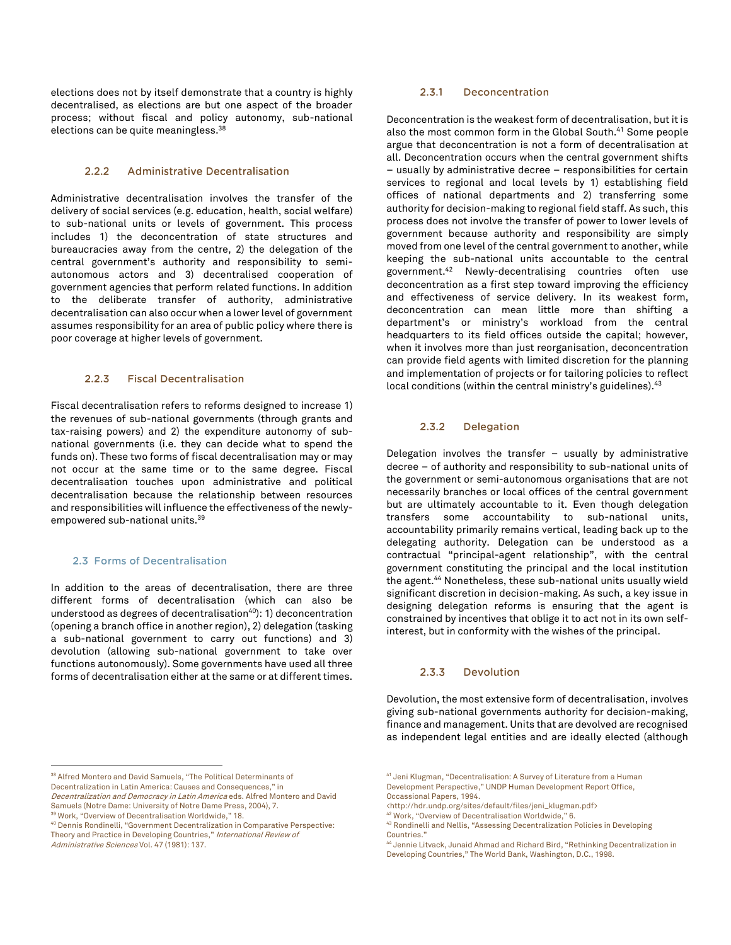elections does not by itself demonstrate that a country is highly decentralised, as elections are but one aspect of the broader process; without fiscal and policy autonomy, sub-national elections can be quite meaningless.<sup>38</sup>

#### **Administrative Decentralisation**  $2.2.2$

Administrative decentralisation involves the transfer of the delivery of social services (e.g. education, health, social welfare) to sub-national units or levels of government. This process includes 1) the deconcentration of state structures and bureaucracies away from the centre, 2) the delegation of the central government's authority and responsibility to semiautonomous actors and 3) decentralised cooperation of government agencies that perform related functions. In addition to the deliberate transfer of authority, administrative decentralisation can also occur when a lower level of government assumes responsibility for an area of public policy where there is poor coverage at higher levels of government.

#### $2.2.3$ **Fiscal Decentralisation**

Fiscal decentralisation refers to reforms designed to increase 1) the revenues of sub-national governments (through grants and tax-raising powers) and 2) the expenditure autonomy of subnational governments (i.e. they can decide what to spend the funds on). These two forms of fiscal decentralisation may or may not occur at the same time or to the same degree. Fiscal decentralisation touches upon administrative and political decentralisation because the relationship between resources and responsibilities will influence the effectiveness of the newlyempowered sub-national units.<sup>39</sup>

## 2.3 Forms of Decentralisation

In addition to the areas of decentralisation, there are three different forms of decentralisation (which can also be understood as degrees of decentralisation $40$ ): 1) deconcentration (opening a branch office in another region), 2) delegation (tasking a sub-national government to carry out functions) and 3) devolution (allowing sub-national government to take over functions autonomously). Some governments have used all three forms of decentralisation either at the same or at different times.

<sup>38</sup> Alfred Montero and David Samuels, "The Political Determinants of Decentralization in Latin America: Causes and Consequences," in

<sup>39</sup> Work, "Overview of Decentralisation Worldwide," 18.

 $\overline{a}$ 

#### $2, 3, 1$ Deconcentration

Deconcentration is the weakest form of decentralisation, but it is also the most common form in the Global South. <sup>41</sup> Some people argue that deconcentration is not a form of decentralisation at all. Deconcentration occurs when the central government shifts – usually by administrative decree – responsibilities for certain services to regional and local levels by 1) establishing field offices of national departments and 2) transferring some authority for decision-making to regional field staff. As such, this process does not involve the transfer of power to lower levels of government because authority and responsibility are simply moved from one level of the central government to another, while keeping the sub-national units accountable to the central government.<sup>42</sup> Newly-decentralising countries often use deconcentration as a first step toward improving the efficiency and effectiveness of service delivery. In its weakest form, deconcentration can mean little more than shifting a department's or ministry's workload from the central headquarters to its field offices outside the capital; however, when it involves more than just reorganisation, deconcentration can provide field agents with limited discretion for the planning and implementation of projects or for tailoring policies to reflect local conditions (within the central ministry's guidelines).<sup>43</sup>

#### $2.3.2$ **Delegation**

Delegation involves the transfer – usually by administrative decree – of authority and responsibility to sub-national units of the government or semi-autonomous organisations that are not necessarily branches or local offices of the central government but are ultimately accountable to it. Even though delegation transfers some accountability to sub-national units, accountability primarily remains vertical, leading back up to the delegating authority. Delegation can be understood as a contractual "principal-agent relationship", with the central government constituting the principal and the local institution the agent.<sup>44</sup> Nonetheless, these sub-national units usually wield significant discretion in decision-making. As such, a key issue in designing delegation reforms is ensuring that the agent is constrained by incentives that oblige it to act not in its own selfinterest, but in conformity with the wishes of the principal.

#### $2.3.3$ **Devolution**

Devolution, the most extensive form of decentralisation, involves giving sub-national governments authority for decision-making, finance and management. Units that are devolved are recognised as independent legal entities and are ideally elected (although

Decentralization and Democracy in Latin America eds. Alfred Montero and David Samuels (Notre Dame: University of Notre Dame Press, 2004), 7.

<sup>40</sup> Dennis Rondinelli, "Government Decentralization in Comparative Perspective: Theory and Practice in Developing Countries," International Review of Administrative Sciences Vol. 47 (1981): 137.

<sup>41</sup> Jeni Klugman, "Decentralisation: A Survey of Literature from a Human Development Perspective," UNDP Human Development Report Office, Occassional Papers, 1994.

<sup>&</sup>lt;http://hdr.undp.org/sites/default/files/jeni\_klugman.pdf>

<sup>42</sup> Work, "Overview of Decentralisation Worldwide," 6.

<sup>43</sup> Rondinelli and Nellis, "Assessing Decentralization Policies in Developing Countries."

<sup>44</sup> Jennie Litvack, Junaid Ahmad and Richard Bird, "Rethinking Decentralization in Developing Countries," The World Bank, Washington, D.C., 1998.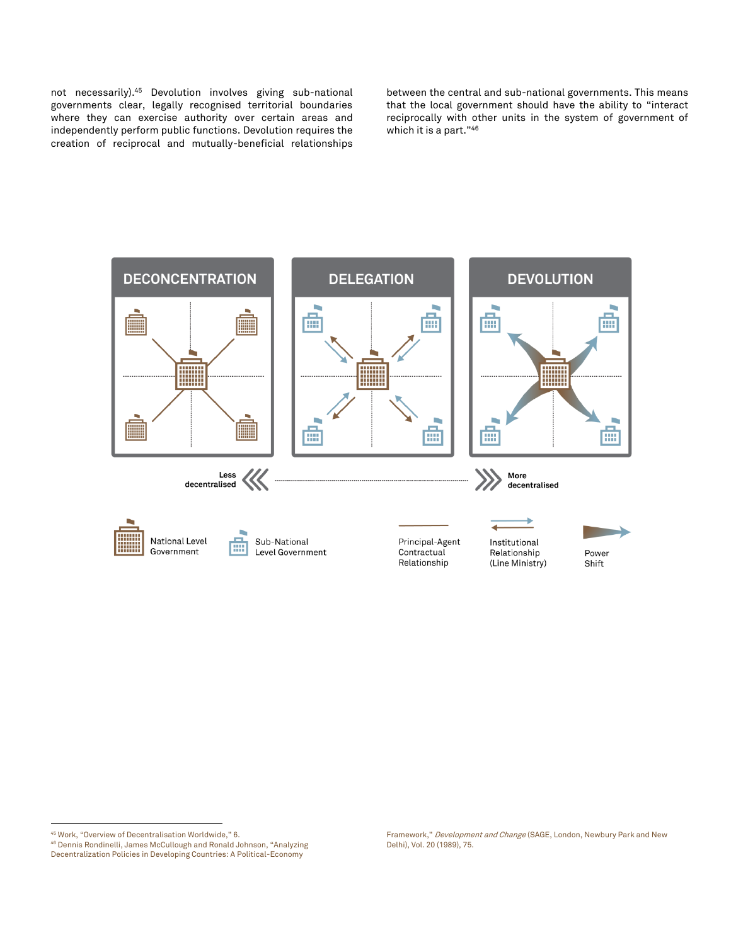not necessarily). <sup>45</sup> Devolution involves giving sub-national governments clear, legally recognised territorial boundaries where they can exercise authority over certain areas and independently perform public functions. Devolution requires the creation of reciprocal and mutually-beneficial relationships

between the central and sub-national governments. This means that the local government should have the ability to "interact reciprocally with other units in the system of government of which it is a part."<sup>46</sup>



<sup>45</sup> Work, "Overview of Decentralisation Worldwide," 6. <sup>46</sup> Dennis Rondinelli, James McCullough and Ronald Johnson, "Analyzing

 $\overline{a}$ 

Decentralization Policies in Developing Countries: A Political-Economy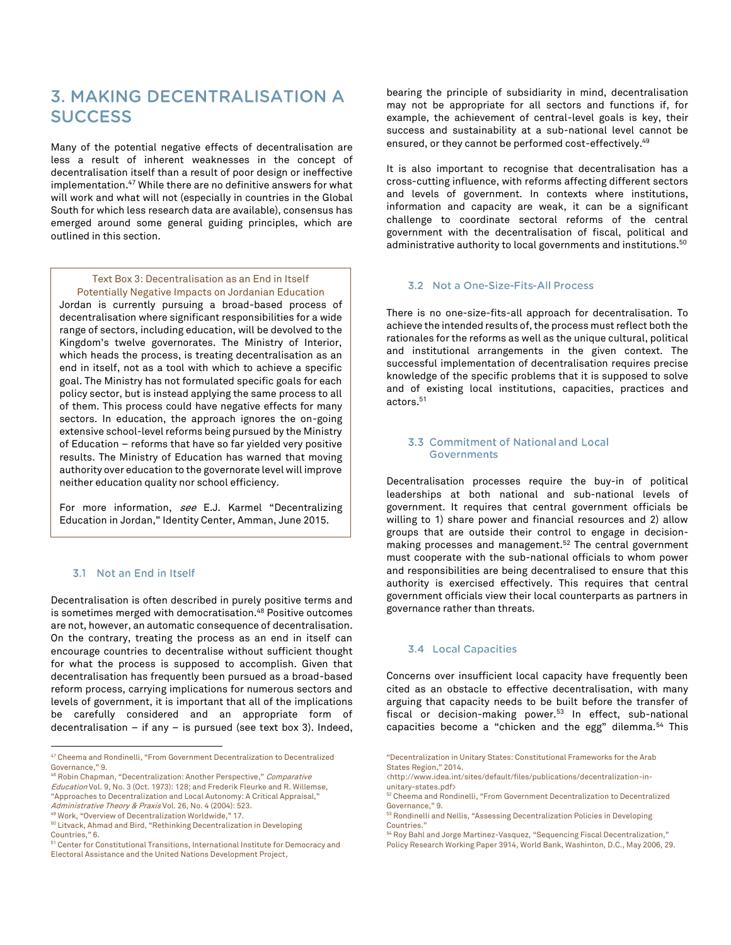## **3. MAKING DECENTRALISATION A SUCCESS**

Many of the potential negative effects of decentralisation are less a result of inherent weaknesses in the concept of decentralisation itself than a result of poor design or ineffective implementation.<sup>47</sup> While there are no definitive answers for what will work and what will not (especially in countries in the Global South for which less research data are available), consensus has emerged around some general guiding principles, which are outlined in this section.

## Text Box 3: Decentralisation as an End in Itself

Potentially Negative Impacts on Jordanian Education Jordan is currently pursuing a broad-based process of decentralisation where significant responsibilities for a wide range of sectors, including education, will be devolved to the Kingdom's twelve governorates. The Ministry of Interior, which heads the process, is treating decentralisation as an end in itself, not as a tool with which to achieve a specific goal. The Ministry has not formulated specific goals for each policy sector, but is instead applying the same process to all of them. This process could have negative effects for many sectors. In education, the approach ignores the on-going extensive school-level reforms being pursued by the Ministry of Education – reforms that have so far yielded very positive results. The Ministry of Education has warned that moving authority over education to the governorate level will improve neither education quality nor school efficiency.

For more information, see E.J. Karmel "Decentralizing Education in Jordan," Identity Center, Amman, June 2015.

## 3.1 Not an End in Itself

Decentralisation is often described in purely positive terms and is sometimes merged with democratisation.<sup>48</sup> Positive outcomes are not, however, an automatic consequence of decentralisation. On the contrary, treating the process as an end in itself can encourage countries to decentralise without sufficient thought for what the process is supposed to accomplish. Given that decentralisation has frequently been pursued as a broad-based reform process, carrying implications for numerous sectors and levels of government, it is important that all of the implications be carefully considered and an appropriate form of decentralisation – if any – is pursued (see text box 3). Indeed,

 $\overline{a}$ 

bearing the principle of subsidiarity in mind, decentralisation may not be appropriate for all sectors and functions if, for example, the achievement of central-level goals is key, their success and sustainability at a sub-national level cannot be ensured, or they cannot be performed cost-effectively.<sup>49</sup>

It is also important to recognise that decentralisation has a cross-cutting influence, with reforms affecting different sectors and levels of government. In contexts where institutions, information and capacity are weak, it can be a significant challenge to coordinate sectoral reforms of the central government with the decentralisation of fiscal, political and administrative authority to local governments and institutions. $^{\mathrm{50}}$ 

### 3.2 Not a One-Size-Fits-All Process

There is no one-size-fits-all approach for decentralisation. To achieve the intended results of, the process must reflect both the rationales for the reforms as well as the unique cultural, political and institutional arrangements in the given context. The successful implementation of decentralisation requires precise knowledge of the specific problems that it is supposed to solve and of existing local institutions, capacities, practices and actors. 51

## 3.3 Commitment of National and Local **Governments**

Decentralisation processes require the buy-in of political leaderships at both national and sub-national levels of government. It requires that central government officials be willing to 1) share power and financial resources and 2) allow groups that are outside their control to engage in decisionmaking processes and management.<sup>52</sup> The central government must cooperate with the sub-national officials to whom power and responsibilities are being decentralised to ensure that this authority is exercised effectively. This requires that central government officials view their local counterparts as partners in governance rather than threats.

## 3.4 Local Capacities

Concerns over insufficient local capacity have frequently been cited as an obstacle to effective decentralisation, with many arguing that capacity needs to be built before the transfer of fiscal or decision-making power.<sup>53</sup> In effect, sub-national capacities become a "chicken and the egg" dilemma.<sup>54</sup> This

<sup>47</sup> Cheema and Rondinelli, "From Government Decentralization to Decentralized Governance," 9.

<sup>48</sup> Robin Chapman, "Decentralization: Another Perspective," Comparative Education Vol. 9, No. 3 (Oct. 1973): 128; and Frederik Fleurke and R. Willemse, "Approaches to Decentralization and Local Autonomy: A Critical Appraisal,"

Administrative Theory & Praxis Vol. 26, No. 4 (2004): 523.

<sup>49</sup> Work, "Overview of Decentralization Worldwide," 17.

<sup>50</sup> Litvack, Ahmad and Bird, "Rethinking Decentralization in Developing

Countries," 6.

<sup>&</sup>lt;sup>51</sup> Center for Constitutional Transitions, International Institute for Democracy and Electoral Assistance and the United Nations Development Project,

<sup>&</sup>quot;Decentralization in Unitary States: Constitutional Frameworks for the Arab States Region," 2014.

<sup>&</sup>lt;http://www.idea.int/sites/default/files/publications/decentralization-inunitary-states.pdf>

<sup>52</sup> Cheema and Rondinelli, "From Government Decentralization to Decentralized Governance," 9.

<sup>53</sup> Rondinelli and Nellis, "Assessing Decentralization Policies in Developing Countries."

<sup>54</sup> Roy Bahl and Jorge Martinez-Vasquez, "Sequencing Fiscal Decentralization," Policy Research Working Paper 3914, World Bank, Washinton, D.C., May 2006, 29.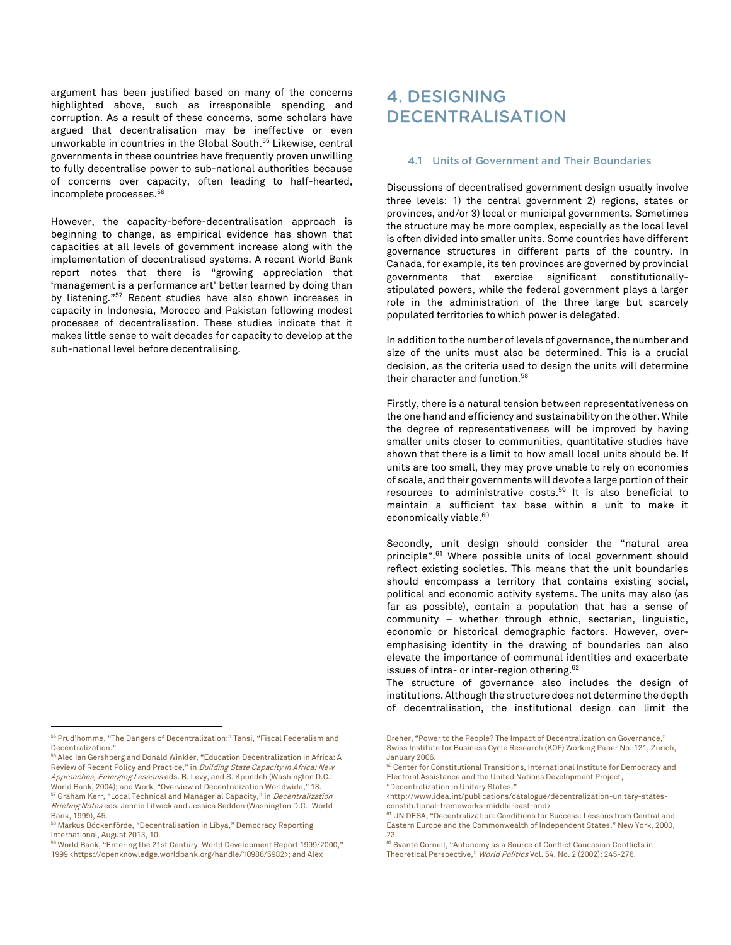argument has been justified based on many of the concerns highlighted above, such as irresponsible spending and corruption. As a result of these concerns, some scholars have argued that decentralisation may be ineffective or even unworkable in countries in the Global South. <sup>55</sup> Likewise, central governments in these countries have frequently proven unwilling to fully decentralise power to sub-national authorities because of concerns over capacity, often leading to half-hearted, incomplete processes. 56

However, the capacity-before-decentralisation approach is beginning to change, as empirical evidence has shown that capacities at all levels of government increase along with the implementation of decentralised systems. A recent World Bank report notes that there is "growing appreciation that 'management is a performance art' better learned by doing than by listening."<sup>57</sup> Recent studies have also shown increases in capacity in Indonesia, Morocco and Pakistan following modest processes of decentralisation. These studies indicate that it makes little sense to wait decades for capacity to develop at the sub-national level before decentralising.

 $\overline{a}$ 

## **4. DESIGNING DECENTRALISATION**

## 4.1 Units of Government and Their Boundaries

Discussions of decentralised government design usually involve three levels: 1) the central government 2) regions, states or provinces, and/or 3) local or municipal governments. Sometimes the structure may be more complex, especially as the local level is often divided into smaller units. Some countries have different governance structures in different parts of the country. In Canada, for example, its ten provinces are governed by provincial governments that exercise significant constitutionallystipulated powers, while the federal government plays a larger role in the administration of the three large but scarcely populated territories to which power is delegated.

In addition to the number of levels of governance, the number and size of the units must also be determined. This is a crucial decision, as the criteria used to design the units will determine their character and function.<sup>58</sup>

Firstly, there is a natural tension between representativeness on the one hand and efficiency and sustainability on the other. While the degree of representativeness will be improved by having smaller units closer to communities, quantitative studies have shown that there is a limit to how small local units should be. If units are too small, they may prove unable to rely on economies of scale, and their governments will devote a large portion of their resources to administrative costs. <sup>59</sup> It is also beneficial to maintain a sufficient tax base within a unit to make it economically viable.<sup>60</sup>

Secondly, unit design should consider the "natural area principle". <sup>61</sup> Where possible units of local government should reflect existing societies. This means that the unit boundaries should encompass a territory that contains existing social, political and economic activity systems. The units may also (as far as possible), contain a population that has a sense of community – whether through ethnic, sectarian, linguistic, economic or historical demographic factors. However, overemphasising identity in the drawing of boundaries can also elevate the importance of communal identities and exacerbate issues of intra- or inter-region othering.<sup>62</sup>

The structure of governance also includes the design of institutions. Although the structure does not determine the depth of decentralisation, the institutional design can limit the

<sup>55</sup> Prud'homme, "The Dangers of Decentralization;" Tansi, "Fiscal Federalism and Decentralization."

 $\rm ^{56}$  Alec Ian Gershberg and Donald Winkler, "Education Decentralization in Africa: A Review of Recent Policy and Practice," in Building State Capacity in Africa: New Approaches, Emerging Lessons eds. B. Levy, and S. Kpundeh (Washington D.C.: World Bank, 2004); and Work, "Overview of Decentralization Worldwide," 18. <sup>57</sup> Graham Kerr, "Local Technical and Managerial Capacity," in *Decentralization* Briefing Notes eds. Jennie Litvack and Jessica Seddon (Washington D.C.: World Bank, 1999), 45.

<sup>58</sup> Markus Böckenförde, "Decentralisation in Libya," Democracy Reporting International, August 2013, 10.

<sup>59</sup> World Bank, "Entering the 21st Century: World Development Report 1999/2000," 1999 <https://openknowledge.worldbank.org/handle/10986/5982>; and Alex

Dreher, "Power to the People? The Impact of Decentralization on Governance," Swiss Institute for Business Cycle Research (KOF) Working Paper No. 121, Zurich, January 2006.

<sup>60</sup> Center for Constitutional Transitions, International Institute for Democracy and Electoral Assistance and the United Nations Development Project,

<sup>&</sup>quot;Decentralization in Unitary States."

<sup>&</sup>lt;http://www.idea.int/publications/catalogue/decentralization-unitary-statesconstitutional-frameworks-middle-east-and>

<sup>61</sup> UN DESA, "Decentralization: Conditions for Success: Lessons from Central and Eastern Europe and the Commonwealth of Independent States," New York, 2000, 23.

<sup>&</sup>lt;sup>62</sup> Svante Cornell, "Autonomy as a Source of Conflict Caucasian Conflicts in Theoretical Perspective." World Politics Vol. 54, No. 2 (2002): 245-276.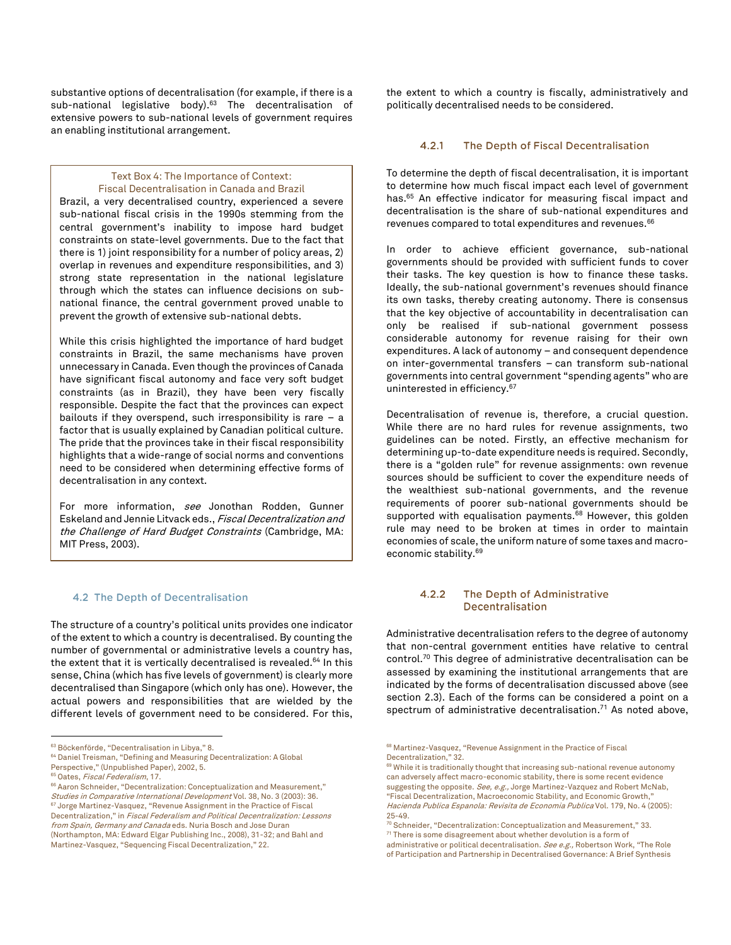substantive options of decentralisation (for example, if there is a sub-national legislative body).<sup>63</sup> The decentralisation of extensive powers to sub-national levels of government requires an enabling institutional arrangement.

## Text Box 4: The Importance of Context: Fiscal Decentralisation in Canada and Brazil

Brazil, a very decentralised country, experienced a severe sub-national fiscal crisis in the 1990s stemming from the central government's inability to impose hard budget constraints on state-level governments. Due to the fact that there is 1) joint responsibility for a number of policy areas, 2) overlap in revenues and expenditure responsibilities, and 3) strong state representation in the national legislature through which the states can influence decisions on subnational finance, the central government proved unable to prevent the growth of extensive sub-national debts.

While this crisis highlighted the importance of hard budget constraints in Brazil, the same mechanisms have proven unnecessary in Canada. Even though the provinces of Canada have significant fiscal autonomy and face very soft budget constraints (as in Brazil), they have been very fiscally responsible. Despite the fact that the provinces can expect bailouts if they overspend, such irresponsibility is rare  $-$  a factor that is usually explained by Canadian political culture. The pride that the provinces take in their fiscal responsibility highlights that a wide-range of social norms and conventions need to be considered when determining effective forms of decentralisation in any context.

For more information, see Jonothan Rodden, Gunner Eskeland and Jennie Litvack eds., Fiscal Decentralization and the Challenge of Hard Budget Constraints (Cambridge, MA: MIT Press, 2003).

## 4.2 The Depth of Decentralisation

The structure of a country's political units provides one indicator of the extent to which a country is decentralised. By counting the number of governmental or administrative levels a country has, the extent that it is vertically decentralised is revealed.<sup>64</sup> In this sense, China (which has five levels of government) is clearly more decentralised than Singapore (which only has one). However, the actual powers and responsibilities that are wielded by the different levels of government need to be considered. For this, the extent to which a country is fiscally, administratively and politically decentralised needs to be considered.

#### $4.2.1$ The Depth of Fiscal Decentralisation

To determine the depth of fiscal decentralisation, it is important to determine how much fiscal impact each level of government has.<sup>65</sup> An effective indicator for measuring fiscal impact and decentralisation is the share of sub-national expenditures and revenues compared to total expenditures and revenues.<sup>66</sup>

In order to achieve efficient governance, sub-national governments should be provided with sufficient funds to cover their tasks. The key question is how to finance these tasks. Ideally, the sub-national government's revenues should finance its own tasks, thereby creating autonomy. There is consensus that the key objective of accountability in decentralisation can only be realised if sub-national government possess considerable autonomy for revenue raising for their own expenditures. A lack of autonomy – and consequent dependence on inter-governmental transfers – can transform sub-national governments into central government "spending agents" who are uninterested in efficiency.<sup>67</sup>

Decentralisation of revenue is, therefore, a crucial question. While there are no hard rules for revenue assignments, two guidelines can be noted. Firstly, an effective mechanism for determining up-to-date expenditure needs is required. Secondly, there is a "golden rule" for revenue assignments: own revenue sources should be sufficient to cover the expenditure needs of the wealthiest sub-national governments, and the revenue requirements of poorer sub-national governments should be supported with equalisation payments.<sup>68</sup> However, this golden rule may need to be broken at times in order to maintain economies of scale, the uniform nature of some taxes and macroeconomic stability.<sup>69</sup>

#### $4.2.2$ The Depth of Administrative **Decentralisation**

Administrative decentralisation refers to the degree of autonomy that non-central government entities have relative to central control.<sup>70</sup> This degree of administrative decentralisation can be assessed by examining the institutional arrangements that are indicated by the forms of decentralisation discussed above (see section 2.3). Each of the forms can be considered a point on a spectrum of administrative decentralisation. <sup>71</sup> As noted above,

<sup>&</sup>lt;sup>63</sup> Böckenförde, "Decentralisation in Libya," 8.

<sup>64</sup> Daniel Treisman, "Defining and Measuring Decentralization: A Global

Perspective," (Unpublished Paper), 2002, 5.

<sup>&</sup>lt;sup>65</sup> Oates, Fiscal Federalism, 17.

<sup>66</sup> Aaron Schneider, "Decentralization: Conceptualization and Measurement," Studies in Comparative International Development Vol. 38, No. 3 (2003): 36. <sup>67</sup> Jorge Martinez-Vasquez, "Revenue Assignment in the Practice of Fiscal Decentralization," in Fiscal Federalism and Political Decentralization: Lessons from Spain, Germany and Canada eds. Nuria Bosch and Jose Duran (Northampton, MA: Edward Elgar Publishing Inc., 2008), 31-32; and Bahl and Martinez-Vasquez, "Sequencing Fiscal Decentralization," 22.

<sup>&</sup>lt;sup>68</sup> Martinez-Vasquez, "Revenue Assignment in the Practice of Fiscal Decentralization," 32.

 $69$  While it is traditionally thought that increasing sub-national revenue autonomy can adversely affect macro-economic stability, there is some recent evidence suggesting the opposite. See, e.g., Jorge Martinez-Vazquez and Robert McNab, "Fiscal Decentralization, Macroeconomic Stability, and Economic Growth," Hacienda Publica Espanola: Revisita de Economia Publica Vol. 179, No. 4 (2005): 25-49.

 $70$  Schneider, "Decentralization: Conceptualization and Measurement," 33. <sup>71</sup> There is some disagreement about whether devolution is a form of administrative or political decentralisation. *See e.g.*, Robertson Work, "The Role

of Participation and Partnership in Decentralised Governance: A Brief Synthesis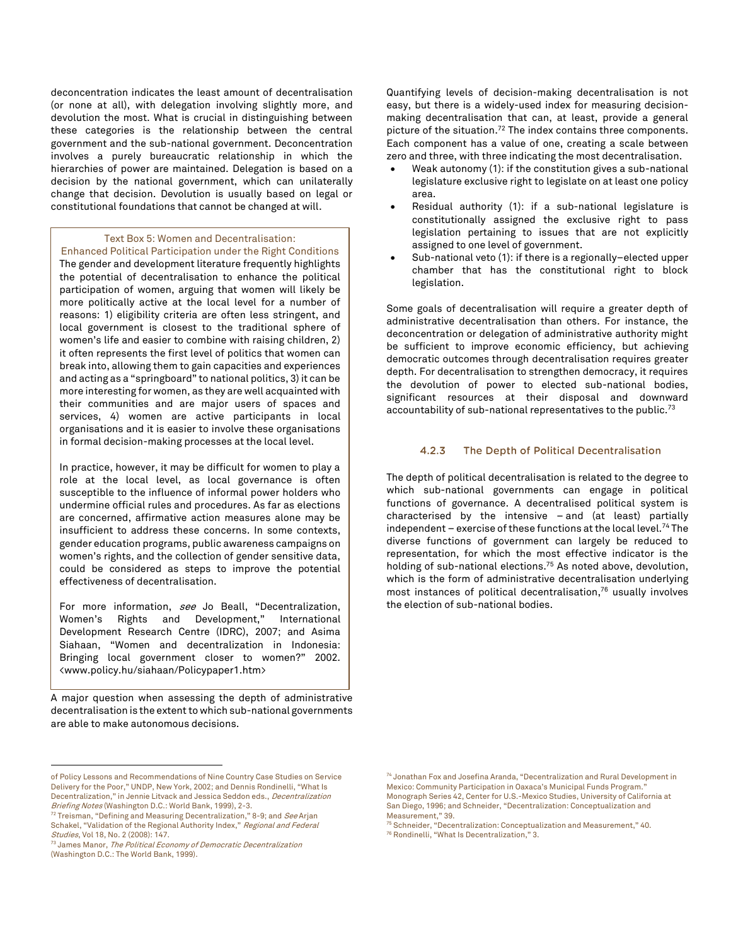deconcentration indicates the least amount of decentralisation (or none at all), with delegation involving slightly more, and devolution the most. What is crucial in distinguishing between these categories is the relationship between the central government and the sub-national government. Deconcentration involves a purely bureaucratic relationship in which the hierarchies of power are maintained. Delegation is based on a decision by the national government, which can unilaterally change that decision. Devolution is usually based on legal or constitutional foundations that cannot be changed at will.

## Text Box 5: Women and Decentralisation:

Enhanced Political Participation under the Right Conditions The gender and development literature frequently highlights the potential of decentralisation to enhance the political participation of women, arguing that women will likely be more politically active at the local level for a number of reasons: 1) eligibility criteria are often less stringent, and local government is closest to the traditional sphere of women's life and easier to combine with raising children, 2) it often represents the first level of politics that women can break into, allowing them to gain capacities and experiences and acting as a "springboard" to national politics, 3) it can be more interesting for women, as they are well acquainted with their communities and are major users of spaces and services, 4) women are active participants in local organisations and it is easier to involve these organisations in formal decision-making processes at the local level.

In practice, however, it may be difficult for women to play a role at the local level, as local governance is often susceptible to the influence of informal power holders who undermine official rules and procedures. As far as elections are concerned, affirmative action measures alone may be insufficient to address these concerns. In some contexts, gender education programs, public awareness campaigns on women's rights, and the collection of gender sensitive data, could be considered as steps to improve the potential effectiveness of decentralisation.

For more information, see Jo Beall, "Decentralization, Women's Rights and Development," International Development Research Centre (IDRC), 2007; and Asima Siahaan, "Women and decentralization in Indonesia: Bringing local government closer to women?" 2002. <www.policy.hu/siahaan/Policypaper1.htm>

A major question when assessing the depth of administrative decentralisation is the extent to which sub-national governments are able to make autonomous decisions.

 $\overline{a}$ 

Quantifying levels of decision-making decentralisation is not easy, but there is a widely-used index for measuring decisionmaking decentralisation that can, at least, provide a general picture of the situation. <sup>72</sup> The index contains three components. Each component has a value of one, creating a scale between zero and three, with three indicating the most decentralisation.

- Weak autonomy (1): if the constitution gives a sub-national legislature exclusive right to legislate on at least one policy area.
- Residual authority (1): if a sub-national legislature is constitutionally assigned the exclusive right to pass legislation pertaining to issues that are not explicitly assigned to one level of government.
- Sub-national veto (1): if there is a regionally–elected upper chamber that has the constitutional right to block legislation.

Some goals of decentralisation will require a greater depth of administrative decentralisation than others. For instance, the deconcentration or delegation of administrative authority might be sufficient to improve economic efficiency, but achieving democratic outcomes through decentralisation requires greater depth. For decentralisation to strengthen democracy, it requires the devolution of power to elected sub-national bodies, significant resources at their disposal and downward accountability of sub-national representatives to the public. $73$ 

#### $4.2.3$ The Depth of Political Decentralisation

The depth of political decentralisation is related to the degree to which sub-national governments can engage in political functions of governance. A decentralised political system is characterised by the intensive – and (at least) partially independent – exercise of these functions at the local level.<sup>74</sup> The diverse functions of government can largely be reduced to representation, for which the most effective indicator is the holding of sub-national elections.<sup>75</sup> As noted above, devolution, which is the form of administrative decentralisation underlying most instances of political decentralisation, <sup>76</sup> usually involves the election of sub-national bodies.

of Policy Lessons and Recommendations of Nine Country Case Studies on Service Delivery for the Poor," UNDP, New York, 2002; and Dennis Rondinelli, "What Is Decentralization," in Jennie Litvack and Jessica Seddon eds., Decentralization Briefing Notes (Washington D.C.: World Bank, 1999), 2-3.

<sup>72</sup> Treisman, "Defining and Measuring Decentralization," 8-9; and See Arjan Schakel, "Validation of the Regional Authority Index," Regional and Federal Studies, Vol 18, No. 2 (2008): 147.

<sup>&</sup>lt;sup>73</sup> James Manor, The Political Economy of Democratic Decentralization (Washington D.C.: The World Bank, 1999).

<sup>74</sup> Jonathan Fox and Josefina Aranda, "Decentralization and Rural Development in Mexico: Community Participation in Oaxaca's Municipal Funds Program." Monograph Series 42, Center for U.S.-Mexico Studies, University of California at San Diego, 1996; and Schneider, "Decentralization: Conceptualization and Measurement," 39.

<sup>75</sup> Schneider, "Decentralization: Conceptualization and Measurement," 40. <sup>76</sup> Rondinelli, "What Is Decentralization," 3.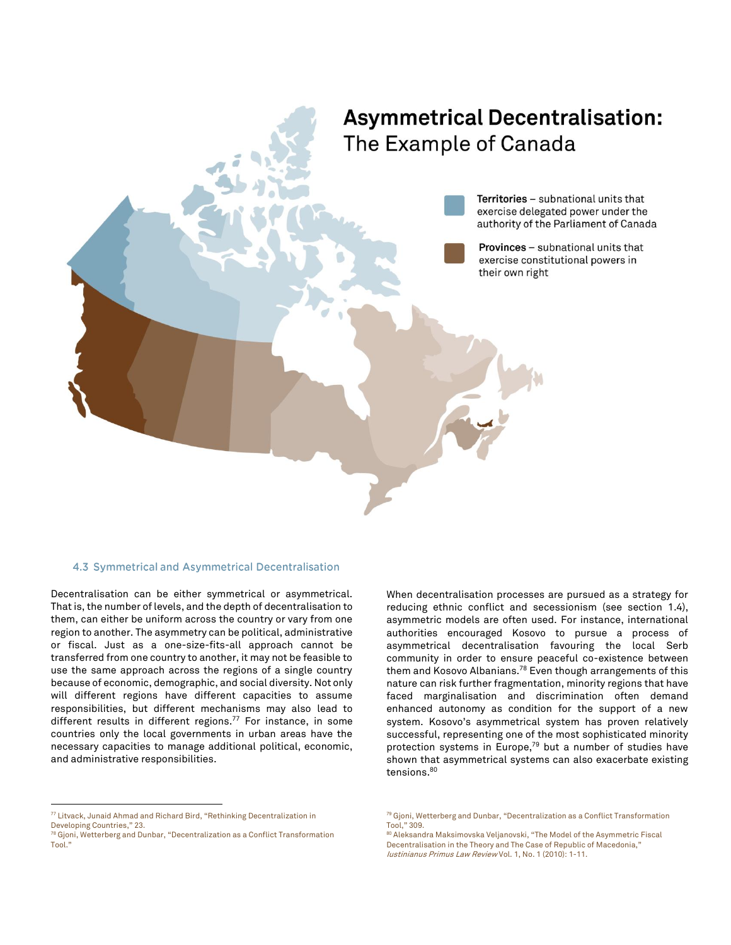# **Asymmetrical Decentralisation:** The Example of Canada

Territories - subnational units that exercise delegated power under the authority of the Parliament of Canada

Provinces - subnational units that exercise constitutional powers in their own right

## 4.3 Symmetrical and Asymmetrical Decentralisation

Decentralisation can be either symmetrical or asymmetrical. That is, the number of levels, and the depth of decentralisation to them, can either be uniform across the country or vary from one region to another. The asymmetry can be political, administrative or fiscal. Just as a one-size-fits-all approach cannot be transferred from one country to another, it may not be feasible to use the same approach across the regions of a single country because of economic, demographic, and social diversity. Not only will different regions have different capacities to assume responsibilities, but different mechanisms may also lead to different results in different regions.<sup>77</sup> For instance, in some countries only the local governments in urban areas have the necessary capacities to manage additional political, economic, and administrative responsibilities.

When decentralisation processes are pursued as a strategy for reducing ethnic conflict and secessionism (see section 1.4), asymmetric models are often used. For instance, international authorities encouraged Kosovo to pursue a process of asymmetrical decentralisation favouring the local Serb community in order to ensure peaceful co-existence between them and Kosovo Albanians.<sup>78</sup> Even though arrangements of this nature can risk further fragmentation, minority regions that have faced marginalisation and discrimination often demand enhanced autonomy as condition for the support of a new system. Kosovo's asymmetrical system has proven relatively successful, representing one of the most sophisticated minority protection systems in Europe,<sup>79</sup> but a number of studies have shown that asymmetrical systems can also exacerbate existing tensions.<sup>80</sup>

 $\overline{a}$ 

<sup>77</sup> Litvack, Junaid Ahmad and Richard Bird, "Rethinking Decentralization in Developing Countries," 23.

<sup>78</sup> Gjoni, Wetterberg and Dunbar, "Decentralization as a Conflict Transformation Tool."

<sup>79</sup> Gjoni, Wetterberg and Dunbar, "Decentralization as a Conflict Transformation Tool," 309.

<sup>80</sup> Aleksandra Maksimovska Veljanovski, "The Model of the Asymmetric Fiscal Decentralisation in the Theory and The Case of Republic of Macedonia," Iustinianus Primus Law Review Vol. 1, No. 1 (2010): 1-11.